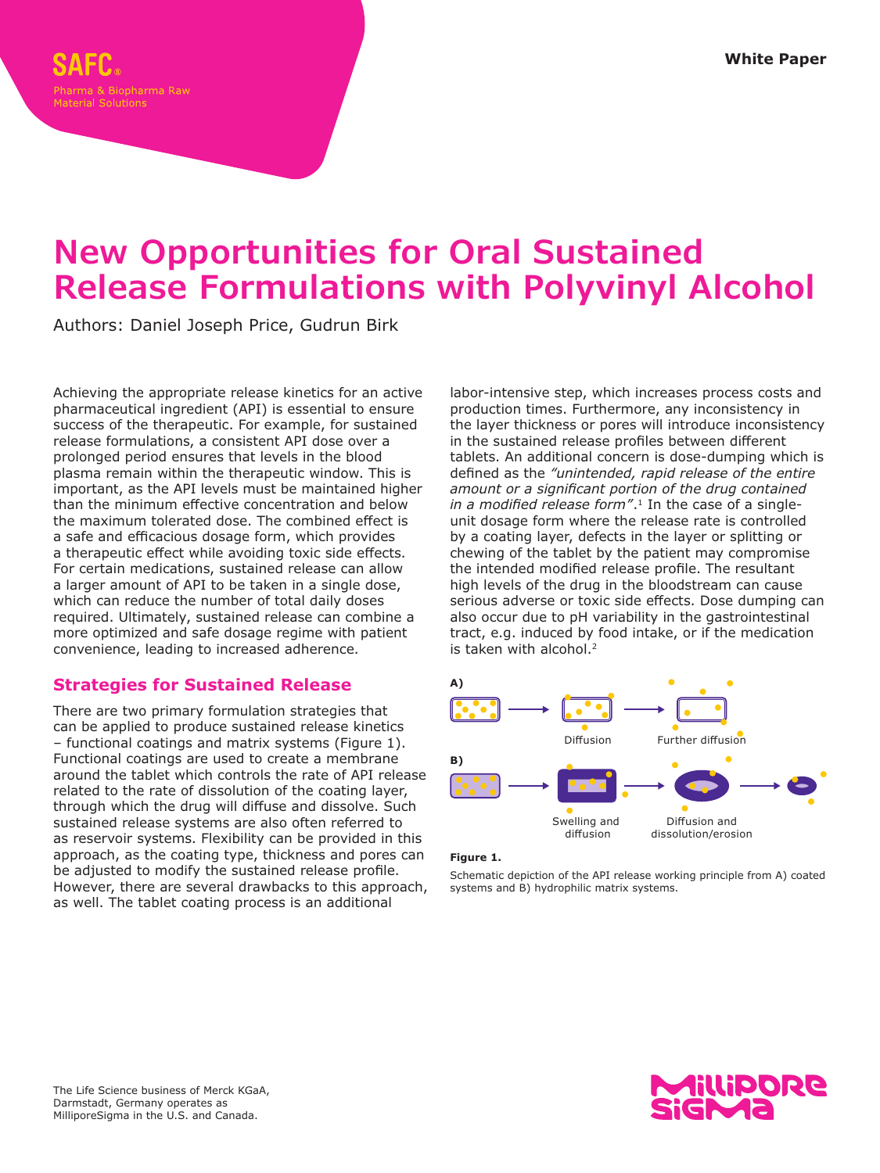# **New Opportunities for Oral Sustained Release Formulations with Polyvinyl Alcohol**

Authors: Daniel Joseph Price, Gudrun Birk

Achieving the appropriate release kinetics for an active pharmaceutical ingredient (API) is essential to ensure success of the therapeutic. For example, for sustained release formulations, a consistent API dose over a prolonged period ensures that levels in the blood plasma remain within the therapeutic window. This is important, as the API levels must be maintained higher than the minimum effective concentration and below the maximum tolerated dose. The combined effect is a safe and efficacious dosage form, which provides a therapeutic effect while avoiding toxic side effects. For certain medications, sustained release can allow a larger amount of API to be taken in a single dose, which can reduce the number of total daily doses required. Ultimately, sustained release can combine a more optimized and safe dosage regime with patient convenience, leading to increased adherence.

# **Strategies for Sustained Release**

There are two primary formulation strategies that can be applied to produce sustained release kinetics – functional coatings and matrix systems (Figure 1). Functional coatings are used to create a membrane around the tablet which controls the rate of API release related to the rate of dissolution of the coating layer, through which the drug will diffuse and dissolve. Such sustained release systems are also often referred to as reservoir systems. Flexibility can be provided in this approach, as the coating type, thickness and pores can be adjusted to modify the sustained release profile. However, there are several drawbacks to this approach, as well. The tablet coating process is an additional

labor-intensive step, which increases process costs and production times. Furthermore, any inconsistency in the layer thickness or pores will introduce inconsistency in the sustained release profiles between different tablets. An additional concern is dose-dumping which is defined as the *"unintended, rapid release of the entire amount or a significant portion of the drug contained in a modified release form"*.1 In the case of a singleunit dosage form where the release rate is controlled by a coating layer, defects in the layer or splitting or chewing of the tablet by the patient may compromise the intended modified release profile. The resultant high levels of the drug in the bloodstream can cause serious adverse or toxic side effects. Dose dumping can also occur due to pH variability in the gastrointestinal tract, e.g. induced by food intake, or if the medication is taken with alcohol.<sup>2</sup>



## **Figure 1.**

Schematic depiction of the API release working principle from A) coated systems and B) hydrophilic matrix systems.

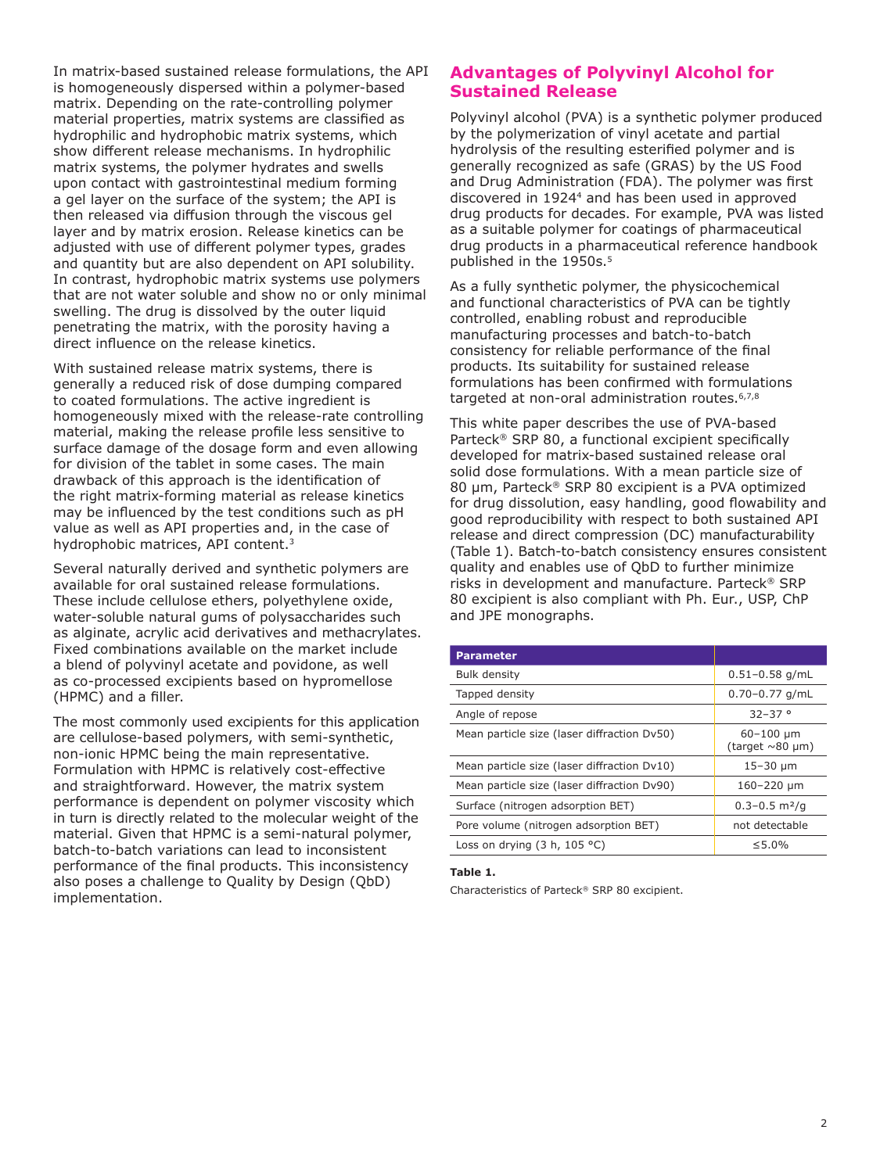In matrix-based sustained release formulations, the API is homogeneously dispersed within a polymer-based matrix. Depending on the rate-controlling polymer material properties, matrix systems are classified as hydrophilic and hydrophobic matrix systems, which show different release mechanisms. In hydrophilic matrix systems, the polymer hydrates and swells upon contact with gastrointestinal medium forming a gel layer on the surface of the system; the API is then released via diffusion through the viscous gel layer and by matrix erosion. Release kinetics can be adjusted with use of different polymer types, grades and quantity but are also dependent on API solubility. In contrast, hydrophobic matrix systems use polymers that are not water soluble and show no or only minimal swelling. The drug is dissolved by the outer liquid penetrating the matrix, with the porosity having a direct influence on the release kinetics.

With sustained release matrix systems, there is generally a reduced risk of dose dumping compared to coated formulations. The active ingredient is homogeneously mixed with the release-rate controlling material, making the release profile less sensitive to surface damage of the dosage form and even allowing for division of the tablet in some cases. The main drawback of this approach is the identification of the right matrix-forming material as release kinetics may be influenced by the test conditions such as pH value as well as API properties and, in the case of hydrophobic matrices, API content.3

Several naturally derived and synthetic polymers are available for oral sustained release formulations. These include cellulose ethers, polyethylene oxide, water-soluble natural gums of polysaccharides such as alginate, acrylic acid derivatives and methacrylates. Fixed combinations available on the market include a blend of polyvinyl acetate and povidone, as well as co-processed excipients based on hypromellose (HPMC) and a filler.

The most commonly used excipients for this application are cellulose-based polymers, with semi-synthetic, non-ionic HPMC being the main representative. Formulation with HPMC is relatively cost-effective and straightforward. However, the matrix system performance is dependent on polymer viscosity which in turn is directly related to the molecular weight of the material. Given that HPMC is a semi-natural polymer, batch-to-batch variations can lead to inconsistent performance of the final products. This inconsistency also poses a challenge to Quality by Design (QbD) implementation.

# **Advantages of Polyvinyl Alcohol for Sustained Release**

Polyvinyl alcohol (PVA) is a synthetic polymer produced by the polymerization of vinyl acetate and partial hydrolysis of the resulting esterified polymer and is generally recognized as safe (GRAS) by the US Food and Drug Administration (FDA). The polymer was first discovered in 19244 and has been used in approved drug products for decades. For example, PVA was listed as a suitable polymer for coatings of pharmaceutical drug products in a pharmaceutical reference handbook published in the 1950s.<sup>5</sup>

As a fully synthetic polymer, the physicochemical and functional characteristics of PVA can be tightly controlled, enabling robust and reproducible manufacturing processes and batch-to-batch consistency for reliable performance of the final products. Its suitability for sustained release formulations has been confirmed with formulations targeted at non-oral administration routes.<sup>6,7,8</sup>

This white paper describes the use of PVA-based Parteck® SRP 80, a functional excipient specifically developed for matrix-based sustained release oral solid dose formulations. With a mean particle size of 80 µm, Parteck® SRP 80 excipient is a PVA optimized for drug dissolution, easy handling, good flowability and good reproducibility with respect to both sustained API release and direct compression (DC) manufacturability (Table 1). Batch-to-batch consistency ensures consistent quality and enables use of QbD to further minimize risks in development and manufacture. Parteck® SRP 80 excipient is also compliant with Ph. Eur., USP, ChP and JPE monographs.

| <b>Parameter</b>                            |                                           |
|---------------------------------------------|-------------------------------------------|
| <b>Bulk density</b>                         | $0.51 - 0.58$ g/mL                        |
| Tapped density                              | $0.70 - 0.77$ g/mL                        |
| Angle of repose                             | $32 - 37$ °                               |
| Mean particle size (laser diffraction Dv50) | $60 - 100 \mu m$<br>(target $\sim$ 80 µm) |
| Mean particle size (laser diffraction Dv10) | $15 - 30 \mu m$                           |
| Mean particle size (laser diffraction Dv90) | 160-220 µm                                |
| Surface (nitrogen adsorption BET)           | $0.3 - 0.5$ m <sup>2</sup> /g             |
| Pore volume (nitrogen adsorption BET)       | not detectable                            |
| Loss on drying $(3 h, 105 °C)$              | $\leq 5.0\%$                              |

#### **Table 1.**

Characteristics of Parteck® SRP 80 excipient.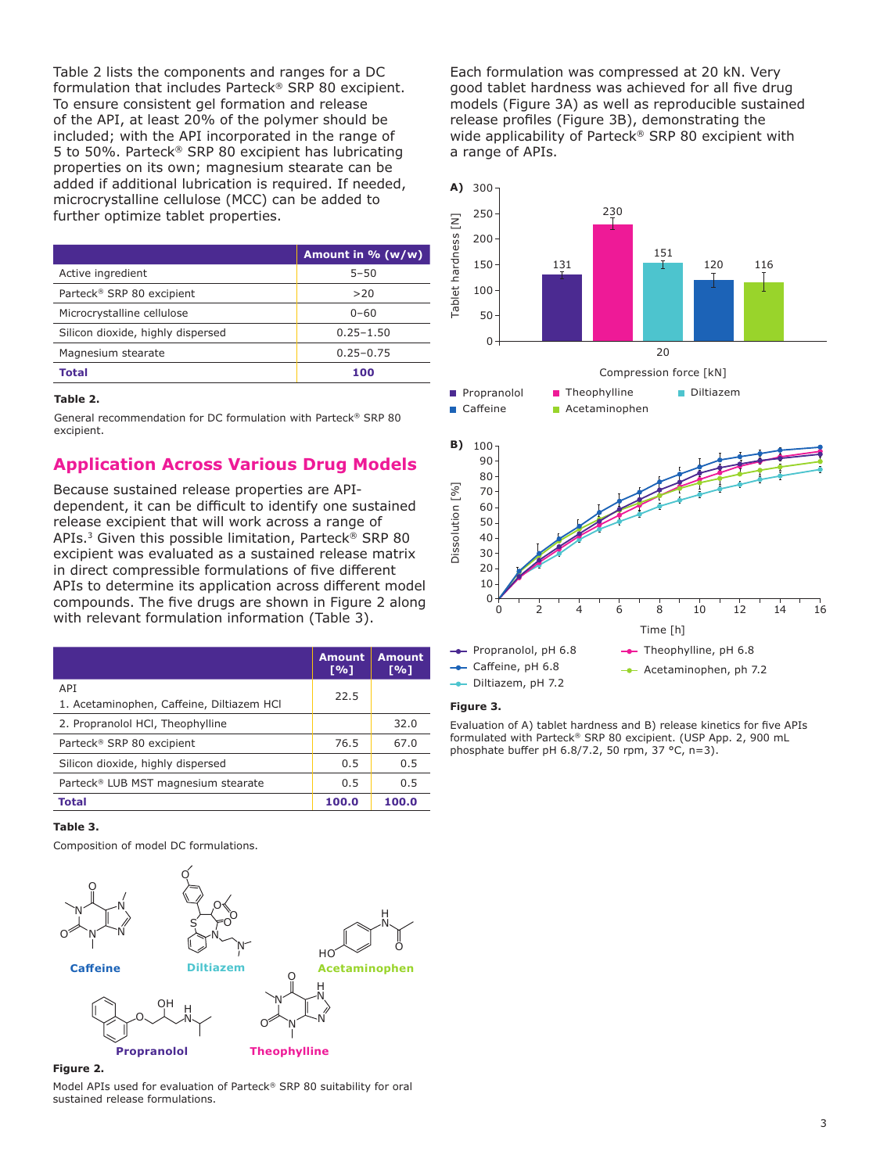Table 2 lists the components and ranges for a DC formulation that includes Parteck® SRP 80 excipient. To ensure consistent gel formation and release of the API, at least 20% of the polymer should be included; with the API incorporated in the range of 5 to 50%. Parteck® SRP 80 excipient has lubricating properties on its own; magnesium stearate can be added if additional lubrication is required. If needed, microcrystalline cellulose (MCC) can be added to further optimize tablet properties.

|                                       | Amount in $% (w/w)$ |
|---------------------------------------|---------------------|
| Active ingredient                     | $5 - 50$            |
| Parteck <sup>®</sup> SRP 80 excipient | >20                 |
| Microcrystalline cellulose            | $0 - 60$            |
| Silicon dioxide, highly dispersed     | $0.25 - 1.50$       |
| Magnesium stearate                    | $0.25 - 0.75$       |
| Total                                 | 100                 |

#### **Table 2.**

General recommendation for DC formulation with Parteck® SRP 80 excipient.

# **Application Across Various Drug Models**

Because sustained release properties are APIdependent, it can be difficult to identify one sustained release excipient that will work across a range of APIs.3 Given this possible limitation, Parteck® SRP 80 excipient was evaluated as a sustained release matrix in direct compressible formulations of five different APIs to determine its application across different model compounds. The five drugs are shown in Figure 2 along with relevant formulation information (Table 3).

|                                                         | <b>Amount</b><br>[%] | <b>Amount</b><br>[%] |
|---------------------------------------------------------|----------------------|----------------------|
| <b>APT</b><br>1. Acetaminophen, Caffeine, Diltiazem HCl | 22.5                 |                      |
| 2. Propranolol HCI, Theophylline                        |                      | 32.0                 |
| Parteck <sup>®</sup> SRP 80 excipient                   | 76.5                 | 67.0                 |
| Silicon dioxide, highly dispersed                       | 0.5                  | 0.5                  |
| Parteck <sup>®</sup> LUB MST magnesium stearate         | 0.5                  | 0.5                  |
| <b>Total</b>                                            | 100.0                | 100.0                |

#### **Table 3.**

Composition of model DC formulations.



#### **Figure 2.**

Model APIs used for evaluation of Parteck® SRP 80 suitability for oral sustained release formulations.

Each formulation was compressed at 20 kN. Very good tablet hardness was achieved for all five drug models (Figure 3A) as well as reproducible sustained release profiles (Figure 3B), demonstrating the wide applicability of Parteck<sup>®</sup> SRP 80 excipient with a range of APIs.



#### **Figure 3.**

Evaluation of A) tablet hardness and B) release kinetics for five APIs formulated with Parteck® SRP 80 excipient. (USP App. 2, 900 mL phosphate buffer pH 6.8/7.2, 50 rpm, 37 °C, n=3).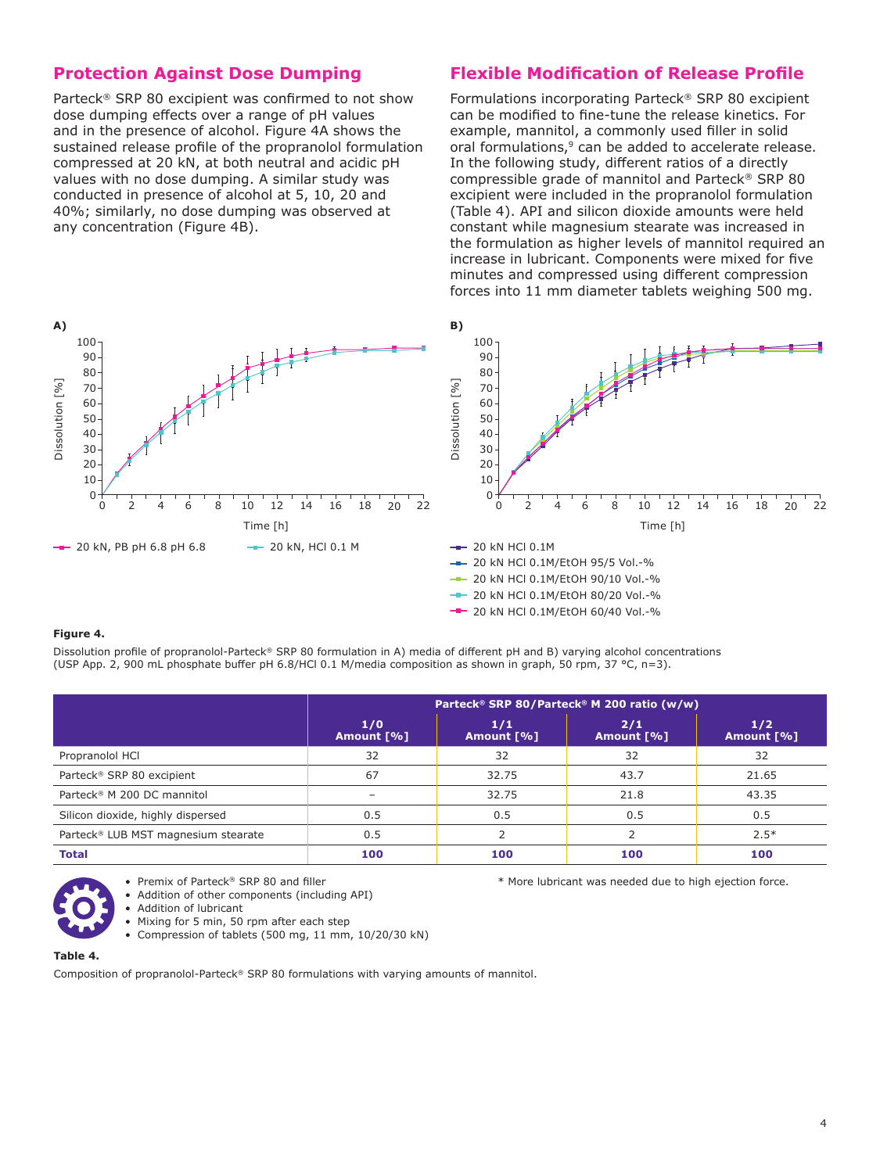# **Protection Against Dose Dumping**

Parteck® SRP 80 excipient was confirmed to not show dose dumping effects over a range of pH values and in the presence of alcohol. Figure 4A shows the sustained release profile of the propranolol formulation compressed at 20 kN, at both neutral and acidic pH values with no dose dumping. A similar study was conducted in presence of alcohol at 5, 10, 20 and 40%; similarly, no dose dumping was observed at any concentration (Figure 4B).

# **Flexible Modification of Release Profile**

Formulations incorporating Parteck® SRP 80 excipient can be modified to fine-tune the release kinetics. For example, mannitol, a commonly used filler in solid oral formulations,<sup>9</sup> can be added to accelerate release. In the following study, different ratios of a directly compressible grade of mannitol and Parteck® SRP 80 excipient were included in the propranolol formulation (Table 4). API and silicon dioxide amounts were held constant while magnesium stearate was increased in the formulation as higher levels of mannitol required an increase in lubricant. Components were mixed for five minutes and compressed using different compression forces into 11 mm diameter tablets weighing 500 mg.



#### **Figure 4.**

Dissolution profile of propranolol-Parteck® SRP 80 formulation in A) media of different pH and B) varying alcohol concentrations (USP App. 2, 900 mL phosphate buffer pH 6.8/HCl 0.1 M/media composition as shown in graph, 50 rpm, 37 °C, n=3).

|                                        | Parteck® SRP 80/Parteck® M 200 ratio (w/w) |                   |                   |                     |
|----------------------------------------|--------------------------------------------|-------------------|-------------------|---------------------|
|                                        | 1/0<br>Amount [%]                          | 1/1<br>Amount [%] | 2/1<br>Amount [%] | $1/2$<br>Amount [%] |
| Propranolol HCl                        | 32                                         | 32                | 32                | 32                  |
| Parteck® SRP 80 excipient              | 67                                         | 32.75             | 43.7              | 21.65               |
| Parteck <sup>®</sup> M 200 DC mannitol | $\overline{\phantom{a}}$                   | 32.75             | 21.8              | 43.35               |
| Silicon dioxide, highly dispersed      | 0.5                                        | 0.5               | 0.5               | 0.5                 |
| Parteck® LUB MST magnesium stearate    | 0.5                                        |                   |                   | $2.5*$              |
| <b>Total</b>                           | 100                                        | 100               | 100               | 100                 |

• Premix of Parteck® SRP 80 and filler • Addition of other components (including API) \* More lubricant was needed due to high ejection force.

- Addition of lubricant
- Mixing for 5 min, 50 rpm after each step
- Compression of tablets (500 mg, 11 mm, 10/20/30 kN)

#### **Table 4.**

Composition of propranolol-Parteck® SRP 80 formulations with varying amounts of mannitol.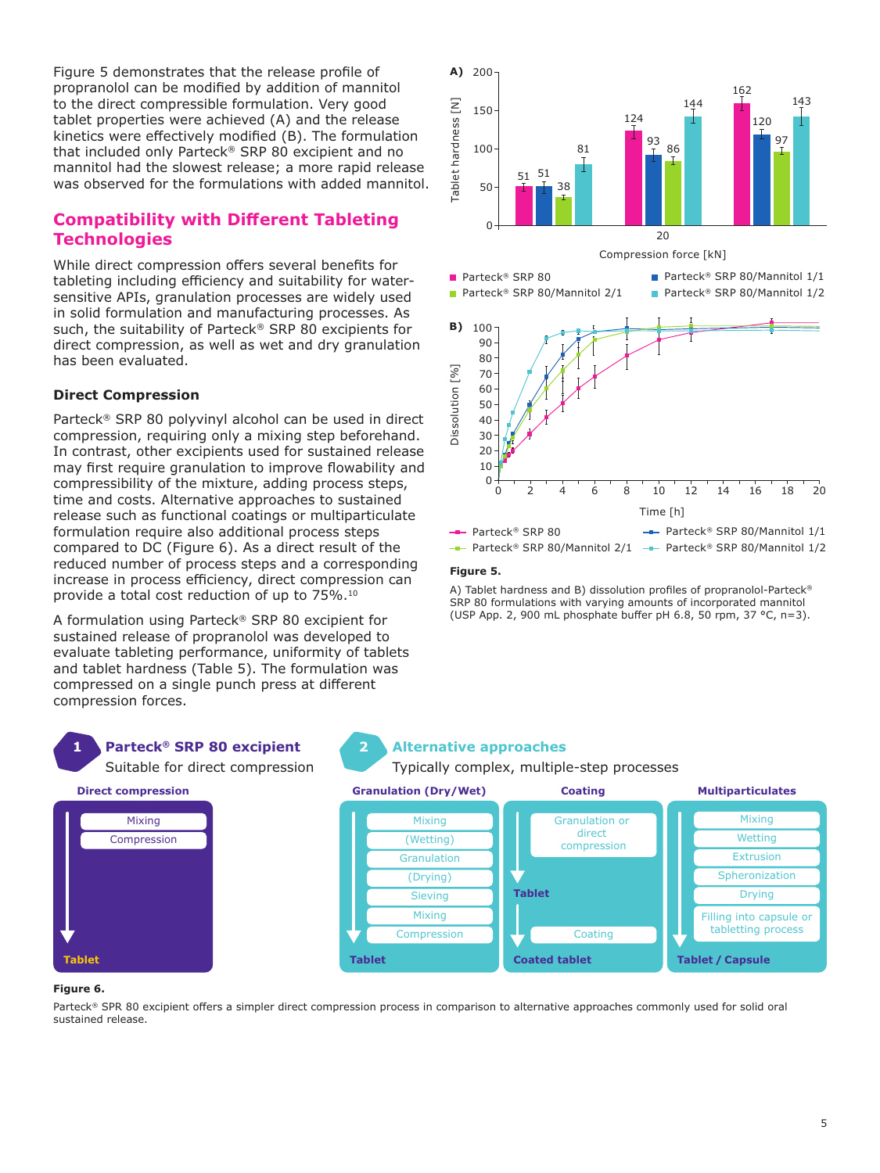Figure 5 demonstrates that the release profile of propranolol can be modified by addition of mannitol to the direct compressible formulation. Very good tablet properties were achieved (A) and the release kinetics were effectively modified (B). The formulation that included only Parteck® SRP 80 excipient and no mannitol had the slowest release; a more rapid release was observed for the formulations with added mannitol.

# **Compatibility with Different Tableting Technologies**

While direct compression offers several benefits for tableting including efficiency and suitability for watersensitive APIs, granulation processes are widely used in solid formulation and manufacturing processes. As such, the suitability of Parteck® SRP 80 excipients for direct compression, as well as wet and dry granulation has been evaluated.

## **Direct Compression**

Parteck® SRP 80 polyvinyl alcohol can be used in direct compression, requiring only a mixing step beforehand. In contrast, other excipients used for sustained release may first require granulation to improve flowability and compressibility of the mixture, adding process steps, time and costs. Alternative approaches to sustained release such as functional coatings or multiparticulate formulation require also additional process steps compared to DC (Figure 6). As a direct result of the reduced number of process steps and a corresponding increase in process efficiency, direct compression can provide a total cost reduction of up to 75%.10

A formulation using Parteck® SRP 80 excipient for sustained release of propranolol was developed to evaluate tableting performance, uniformity of tablets and tablet hardness (Table 5). The formulation was compressed on a single punch press at different compression forces.

Suitable for direct compression

Mixing Compression



## **Figure 5.**

A) Tablet hardness and B) dissolution profiles of propranolol-Parteck® SRP 80 formulations with varying amounts of incorporated mannitol (USP App. 2, 900 mL phosphate buffer pH 6.8, 50 rpm, 37 °C, n=3).

## **Parteck® SRP 80 excipient 1 Alternative approaches**

Typically complex, multiple-step processes



#### **Figure 6.**

**Tablet**

Parteck® SPR 80 excipient offers a simpler direct compression process in comparison to alternative approaches commonly used for solid oral sustained release.

**2**

#### 5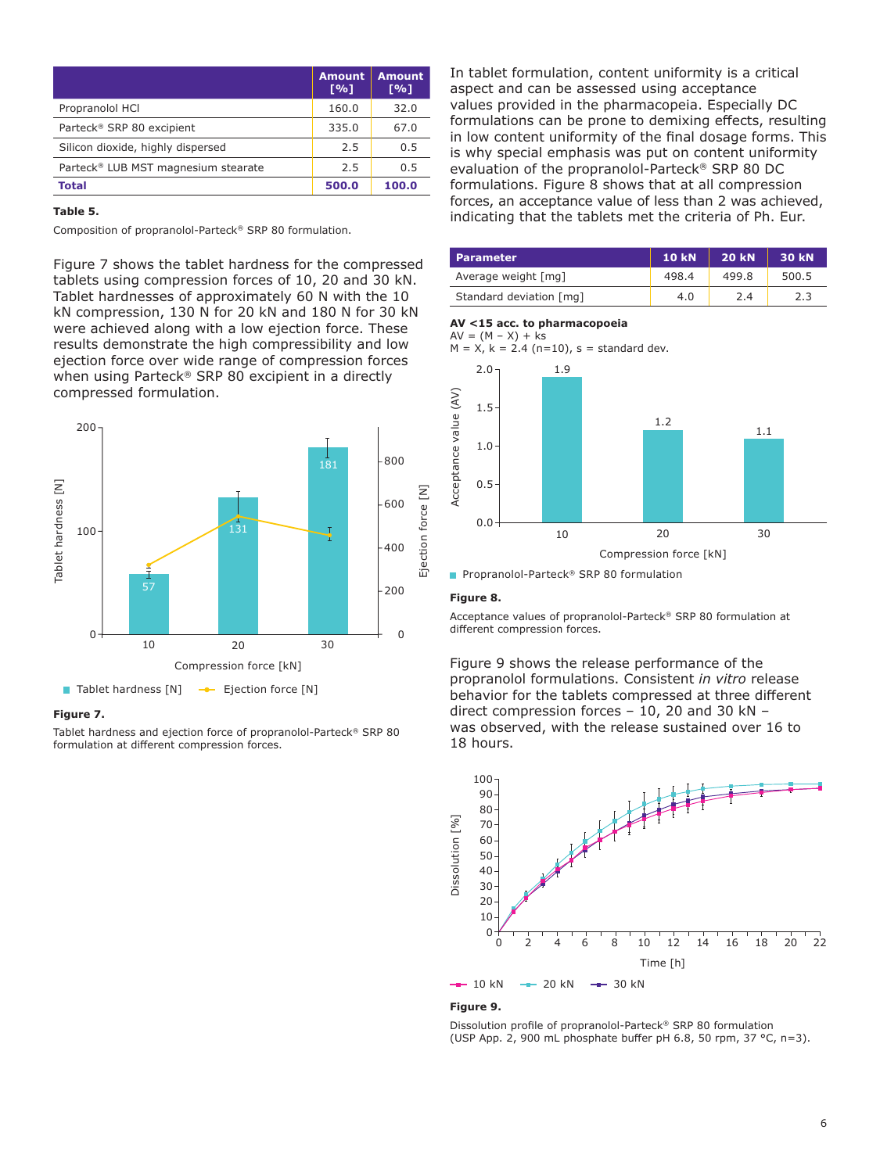|                                                 | <b>Amount</b><br>$\lceil 9/6 \rceil$ | <b>Amount</b><br>$\Gamma\%1$ |
|-------------------------------------------------|--------------------------------------|------------------------------|
| Propranolol HCI                                 | 160.0                                | 32.0                         |
| Parteck <sup>®</sup> SRP 80 excipient           | 335.0                                | 67.0                         |
| Silicon dioxide, highly dispersed               | 2.5                                  | 0.5                          |
| Parteck <sup>®</sup> LUB MST magnesium stearate | 2.5                                  | 0.5                          |
| Total                                           | 500.0                                | 100.0                        |

#### **Table 5.**

Composition of propranolol-Parteck® SRP 80 formulation.

Figure 7 shows the tablet hardness for the compressed tablets using compression forces of 10, 20 and 30 kN. Tablet hardnesses of approximately 60 N with the 10 kN compression, 130 N for 20 kN and 180 N for 30 kN were achieved along with a low ejection force. These results demonstrate the high compressibility and low ejection force over wide range of compression forces when using Parteck® SRP 80 excipient in a directly compressed formulation.



### **Figure 7.**

Tablet hardness and ejection force of propranolol-Parteck® SRP 80 formulation at different compression forces.

In tablet formulation, content uniformity is a critical aspect and can be assessed using acceptance values provided in the pharmacopeia. Especially DC formulations can be prone to demixing effects, resulting in low content uniformity of the final dosage forms. This is why special emphasis was put on content uniformity evaluation of the propranolol-Parteck® SRP 80 DC formulations. Figure 8 shows that at all compression forces, an acceptance value of less than 2 was achieved, indicating that the tablets met the criteria of Ph. Eur.

| <b>Parameter</b>        | <b>10 kN</b> | <b>20 kN</b> | <b>30 kN</b> |
|-------------------------|--------------|--------------|--------------|
| Average weight [mg]     | 498.4        | 499.8        | 500.5        |
| Standard deviation [mg] | 4.0          | 2.4          | 2.3          |

#### **AV <15 acc. to pharmacopoeia**

 $AV = (M - X) + ks$  $M = X$ ,  $k = 2.4$  (n=10), s = standard dev.





■ Propranolol-Parteck<sup>®</sup> SRP 80 formulation

#### **Figure 8.**

Acceptance values of propranolol-Parteck® SRP 80 formulation at different compression forces.

Figure 9 shows the release performance of the propranolol formulations. Consistent *in vitro* release behavior for the tablets compressed at three different direct compression forces – 10, 20 and 30 kN – was observed, with the release sustained over 16 to 18 hours.



#### **Figure 9.**

Dissolution profile of propranolol-Parteck® SRP 80 formulation (USP App. 2, 900 mL phosphate buffer pH 6.8, 50 rpm, 37 °C, n=3).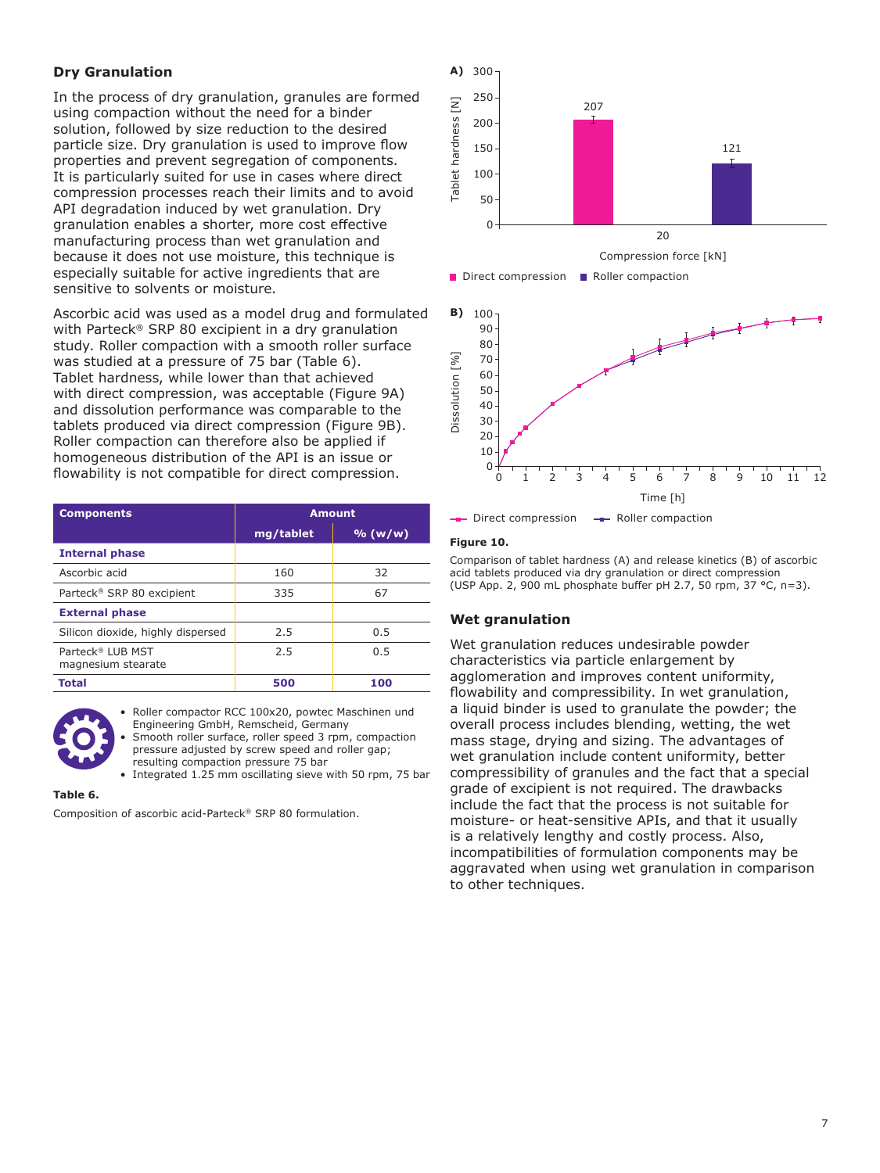## **Dry Granulation**

In the process of dry granulation, granules are formed using compaction without the need for a binder solution, followed by size reduction to the desired particle size. Dry granulation is used to improve flow properties and prevent segregation of components. It is particularly suited for use in cases where direct compression processes reach their limits and to avoid API degradation induced by wet granulation. Dry granulation enables a shorter, more cost effective manufacturing process than wet granulation and because it does not use moisture, this technique is especially suitable for active ingredients that are sensitive to solvents or moisture.

Ascorbic acid was used as a model drug and formulated with Parteck® SRP 80 excipient in a dry granulation study. Roller compaction with a smooth roller surface was studied at a pressure of 75 bar (Table 6). Tablet hardness, while lower than that achieved with direct compression, was acceptable (Figure 9A) and dissolution performance was comparable to the tablets produced via direct compression (Figure 9B). Roller compaction can therefore also be applied if homogeneous distribution of the API is an issue or flowability is not compatible for direct compression.

| <b>Components</b>                                  | <b>Amount</b> |         |
|----------------------------------------------------|---------------|---------|
|                                                    | mg/tablet     | % (w/w) |
| <b>Internal phase</b>                              |               |         |
| Ascorbic acid                                      | 160           | 32      |
| Parteck <sup>®</sup> SRP 80 excipient              | 335           | 67      |
| <b>External phase</b>                              |               |         |
| Silicon dioxide, highly dispersed                  | 2.5           | 0.5     |
| Parteck <sup>®</sup> LUB MST<br>magnesium stearate | 2.5           | 0.5     |
| Total                                              | 500           | 100     |



Roller compactor RCC 100x20, powtec Maschinen und Engineering GmbH, Remscheid, Germany Smooth roller surface, roller speed 3 rpm, compaction

pressure adjusted by screw speed and roller gap; resulting compaction pressure 75 bar

• Integrated 1.25 mm oscillating sieve with 50 rpm, 75 bar

# **Table 6.**

Composition of ascorbic acid-Parteck® SRP 80 formulation.



-Direct compression -- Roller compaction

## **Figure 10.**

Comparison of tablet hardness (A) and release kinetics (B) of ascorbic acid tablets produced via dry granulation or direct compression (USP App. 2, 900 mL phosphate buffer pH 2.7, 50 rpm, 37 °C, n=3).

# **Wet granulation**

Wet granulation reduces undesirable powder characteristics via particle enlargement by agglomeration and improves content uniformity, flowability and compressibility. In wet granulation, a liquid binder is used to granulate the powder; the overall process includes blending, wetting, the wet mass stage, drying and sizing. The advantages of wet granulation include content uniformity, better compressibility of granules and the fact that a special grade of excipient is not required. The drawbacks include the fact that the process is not suitable for moisture- or heat-sensitive APIs, and that it usually is a relatively lengthy and costly process. Also, incompatibilities of formulation components may be aggravated when using wet granulation in comparison to other techniques.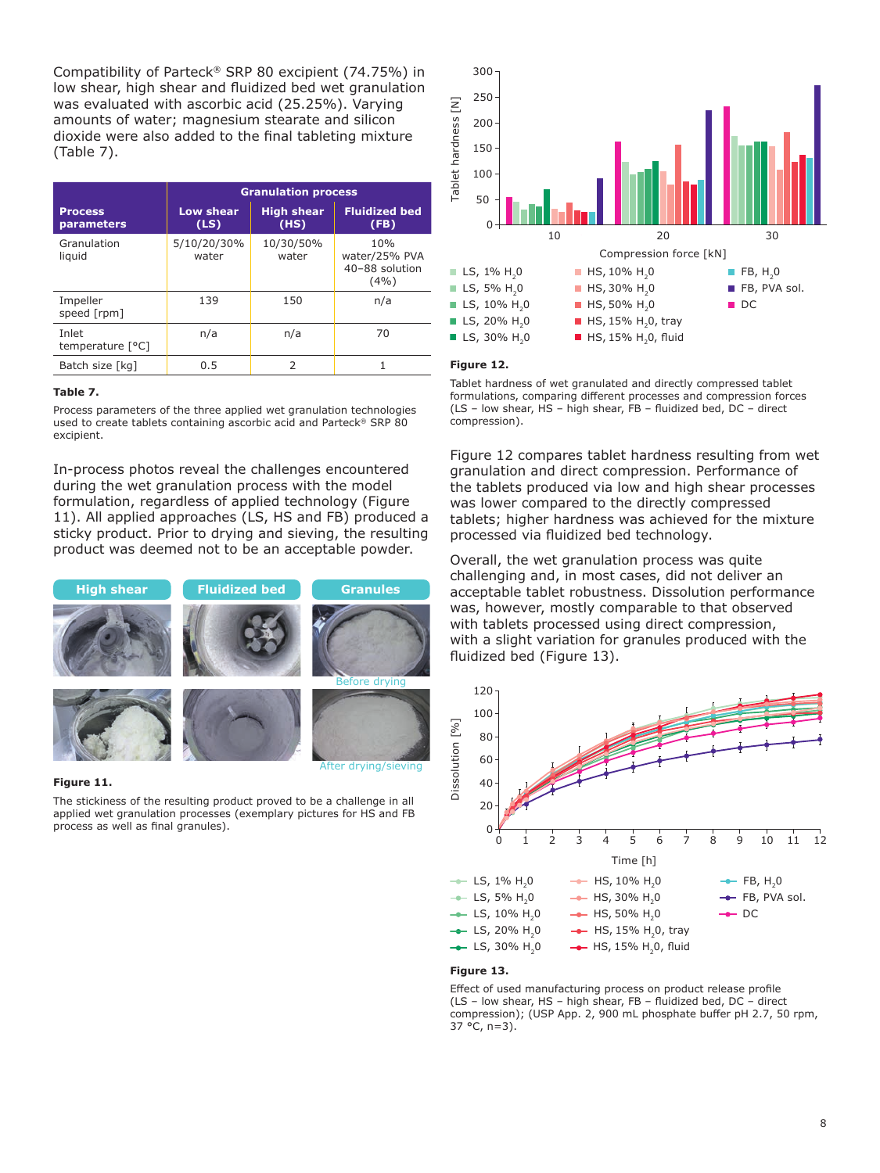Compatibility of Parteck® SRP 80 excipient (74.75%) in low shear, high shear and fluidized bed wet granulation was evaluated with ascorbic acid (25.25%). Varying amounts of water; magnesium stearate and silicon dioxide were also added to the final tableting mixture (Table 7).

|                              | <b>Granulation process</b> |                           |                                                |  |
|------------------------------|----------------------------|---------------------------|------------------------------------------------|--|
| <b>Process</b><br>parameters | Low shear<br>(LS)          | <b>High shear</b><br>(HS) | <b>Fluidized bed</b><br>(FB)                   |  |
| Granulation<br>liquid        | 5/10/20/30%<br>water       | 10/30/50%<br>water        | 10%<br>water/25% PVA<br>40-88 solution<br>(4%) |  |
| Impeller<br>speed [rpm]      | 139                        | 150                       | n/a                                            |  |
| Inlet<br>temperature [°C]    | n/a                        | n/a                       | 70                                             |  |
| Batch size [kq]              | 0.5                        | っ                         |                                                |  |

#### **Table 7.**

Process parameters of the three applied wet granulation technologies used to create tablets containing ascorbic acid and Parteck® SRP 80 excipient.

In-process photos reveal the challenges encountered during the wet granulation process with the model formulation, regardless of applied technology (Figure 11). All applied approaches (LS, HS and FB) produced a sticky product. Prior to drying and sieving, the resulting product was deemed not to be an acceptable powder.



#### **Figure 11.**

The stickiness of the resulting product proved to be a challenge in all applied wet granulation processes (exemplary pictures for HS and FB process as well as final granules).



#### **Figure 12.**

Tablet hardness of wet granulated and directly compressed tablet formulations, comparing different processes and compression forces (LS – low shear, HS – high shear, FB – fluidized bed, DC – direct compression).

Figure 12 compares tablet hardness resulting from wet granulation and direct compression. Performance of the tablets produced via low and high shear processes was lower compared to the directly compressed tablets; higher hardness was achieved for the mixture processed via fluidized bed technology.

Overall, the wet granulation process was quite challenging and, in most cases, did not deliver an acceptable tablet robustness. Dissolution performance was, however, mostly comparable to that observed with tablets processed using direct compression, with a slight variation for granules produced with the fluidized bed (Figure 13).



#### **Figure 13.**

Effect of used manufacturing process on product release profile (LS – low shear, HS – high shear, FB – fluidized bed, DC – direct compression); (USP App. 2, 900 mL phosphate buffer pH 2.7, 50 rpm,